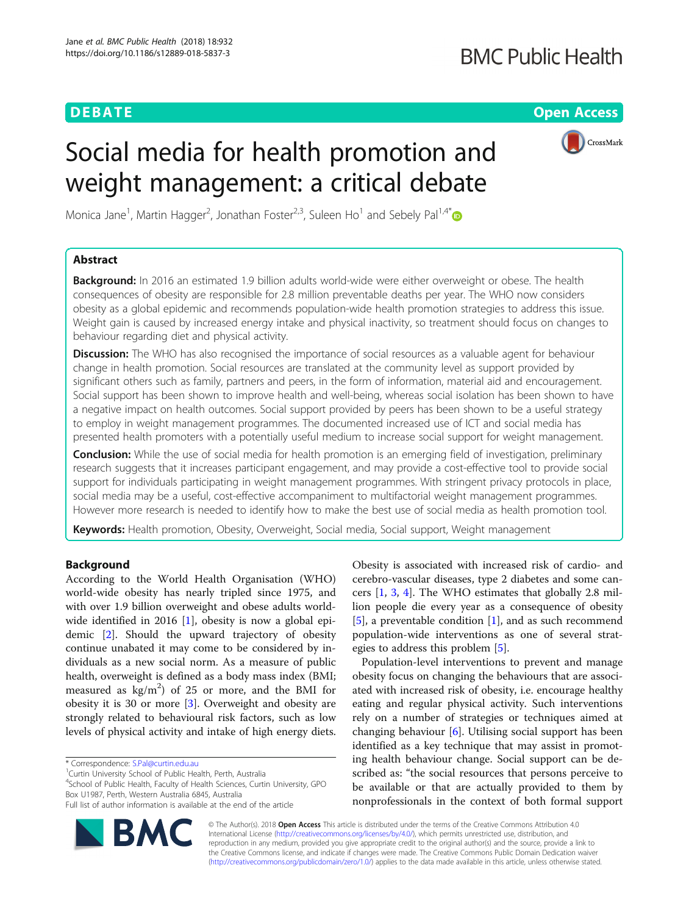**DEBATE CONSERVATION DEBATE CONSERVATION** 

CrossMark

# Social media for health promotion and weight management: a critical debate

Monica Jane<sup>1</sup>, Martin Hagger<sup>2</sup>, Jonathan Foster<sup>2,3</sup>, Suleen Ho<sup>1</sup> and Sebely Pal<sup>1,4\*</sup>

## Abstract

**Background:** In 2016 an estimated 1.9 billion adults world-wide were either overweight or obese. The health consequences of obesity are responsible for 2.8 million preventable deaths per year. The WHO now considers obesity as a global epidemic and recommends population-wide health promotion strategies to address this issue. Weight gain is caused by increased energy intake and physical inactivity, so treatment should focus on changes to behaviour regarding diet and physical activity.

**Discussion:** The WHO has also recognised the importance of social resources as a valuable agent for behaviour change in health promotion. Social resources are translated at the community level as support provided by significant others such as family, partners and peers, in the form of information, material aid and encouragement. Social support has been shown to improve health and well-being, whereas social isolation has been shown to have a negative impact on health outcomes. Social support provided by peers has been shown to be a useful strategy to employ in weight management programmes. The documented increased use of ICT and social media has presented health promoters with a potentially useful medium to increase social support for weight management.

Conclusion: While the use of social media for health promotion is an emerging field of investigation, preliminary research suggests that it increases participant engagement, and may provide a cost-effective tool to provide social support for individuals participating in weight management programmes. With stringent privacy protocols in place, social media may be a useful, cost-effective accompaniment to multifactorial weight management programmes. However more research is needed to identify how to make the best use of social media as health promotion tool.

Keywords: Health promotion, Obesity, Overweight, Social media, Social support, Weight management

## Background

According to the World Health Organisation (WHO) world-wide obesity has nearly tripled since 1975, and with over 1.9 billion overweight and obese adults world-wide identified in 2016 [\[1](#page-5-0)], obesity is now a global epidemic [[2](#page-5-0)]. Should the upward trajectory of obesity continue unabated it may come to be considered by individuals as a new social norm. As a measure of public health, overweight is defined as a body mass index (BMI; measured as  $\text{kg/m}^2$ ) of 25 or more, and the BMI for obesity it is 30 or more [\[3](#page-5-0)]. Overweight and obesity are strongly related to behavioural risk factors, such as low levels of physical activity and intake of high energy diets.

<sup>1</sup> Curtin University School of Public Health, Perth, Australia 4 School of Public Health, Faculty of Health Sciences, Curtin University, GPO Box U1987, Perth, Western Australia 6845, Australia Full list of author information is available at the end of the article

Population-level interventions to prevent and manage obesity focus on changing the behaviours that are associated with increased risk of obesity, i.e. encourage healthy eating and regular physical activity. Such interventions rely on a number of strategies or techniques aimed at changing behaviour [\[6](#page-5-0)]. Utilising social support has been identified as a key technique that may assist in promoting health behaviour change. Social support can be described as: "the social resources that persons perceive to be available or that are actually provided to them by nonprofessionals in the context of both formal support



© The Author(s). 2018 Open Access This article is distributed under the terms of the Creative Commons Attribution 4.0 International License [\(http://creativecommons.org/licenses/by/4.0/](http://creativecommons.org/licenses/by/4.0/)), which permits unrestricted use, distribution, and reproduction in any medium, provided you give appropriate credit to the original author(s) and the source, provide a link to the Creative Commons license, and indicate if changes were made. The Creative Commons Public Domain Dedication waiver [\(http://creativecommons.org/publicdomain/zero/1.0/](http://creativecommons.org/publicdomain/zero/1.0/)) applies to the data made available in this article, unless otherwise stated.

<sup>\*</sup> Correspondence: [S.Pal@curtin.edu.au](mailto:S.Pal@curtin.edu.au) <sup>1</sup>

Obesity is associated with increased risk of cardio- and cerebro-vascular diseases, type 2 diabetes and some cancers [[1,](#page-5-0) [3](#page-5-0), [4\]](#page-5-0). The WHO estimates that globally 2.8 million people die every year as a consequence of obesity [[5\]](#page-5-0), a preventable condition [[1\]](#page-5-0), and as such recommend population-wide interventions as one of several strategies to address this problem [\[5](#page-5-0)].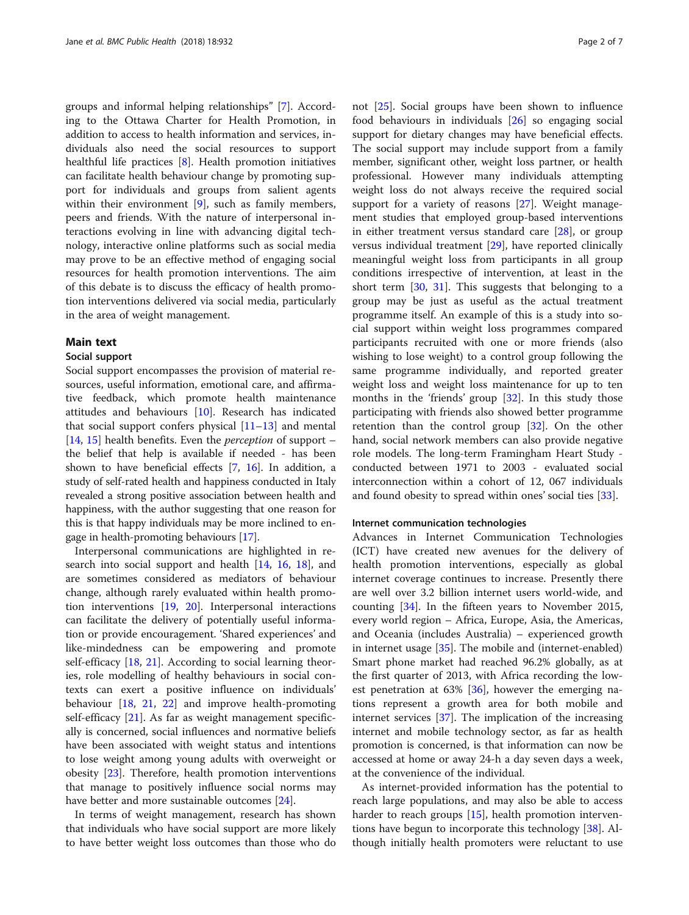groups and informal helping relationships" [\[7](#page-5-0)]. According to the Ottawa Charter for Health Promotion, in addition to access to health information and services, individuals also need the social resources to support healthful life practices [\[8](#page-5-0)]. Health promotion initiatives can facilitate health behaviour change by promoting support for individuals and groups from salient agents within their environment [\[9](#page-5-0)], such as family members, peers and friends. With the nature of interpersonal interactions evolving in line with advancing digital technology, interactive online platforms such as social media may prove to be an effective method of engaging social resources for health promotion interventions. The aim of this debate is to discuss the efficacy of health promotion interventions delivered via social media, particularly in the area of weight management.

## Main text

## Social support

Social support encompasses the provision of material resources, useful information, emotional care, and affirmative feedback, which promote health maintenance attitudes and behaviours [\[10\]](#page-5-0). Research has indicated that social support confers physical  $[11-13]$  $[11-13]$  $[11-13]$  and mental [[14,](#page-5-0) [15\]](#page-5-0) health benefits. Even the *perception* of support – the belief that help is available if needed - has been shown to have beneficial effects [[7,](#page-5-0) [16](#page-5-0)]. In addition, a study of self-rated health and happiness conducted in Italy revealed a strong positive association between health and happiness, with the author suggesting that one reason for this is that happy individuals may be more inclined to engage in health-promoting behaviours [[17](#page-5-0)].

Interpersonal communications are highlighted in research into social support and health [\[14](#page-5-0), [16](#page-5-0), [18\]](#page-5-0), and are sometimes considered as mediators of behaviour change, although rarely evaluated within health promotion interventions [\[19](#page-5-0), [20](#page-5-0)]. Interpersonal interactions can facilitate the delivery of potentially useful information or provide encouragement. 'Shared experiences' and like-mindedness can be empowering and promote self-efficacy [[18,](#page-5-0) [21](#page-5-0)]. According to social learning theories, role modelling of healthy behaviours in social contexts can exert a positive influence on individuals' behaviour [[18](#page-5-0), [21,](#page-5-0) [22](#page-5-0)] and improve health-promoting self-efficacy [[21\]](#page-5-0). As far as weight management specifically is concerned, social influences and normative beliefs have been associated with weight status and intentions to lose weight among young adults with overweight or obesity [[23\]](#page-6-0). Therefore, health promotion interventions that manage to positively influence social norms may have better and more sustainable outcomes [[24\]](#page-6-0).

In terms of weight management, research has shown that individuals who have social support are more likely to have better weight loss outcomes than those who do

not [[25](#page-6-0)]. Social groups have been shown to influence food behaviours in individuals [\[26](#page-6-0)] so engaging social support for dietary changes may have beneficial effects. The social support may include support from a family member, significant other, weight loss partner, or health professional. However many individuals attempting weight loss do not always receive the required social support for a variety of reasons [[27\]](#page-6-0). Weight management studies that employed group-based interventions in either treatment versus standard care [\[28](#page-6-0)], or group versus individual treatment [[29\]](#page-6-0), have reported clinically meaningful weight loss from participants in all group conditions irrespective of intervention, at least in the short term  $[30, 31]$  $[30, 31]$  $[30, 31]$  $[30, 31]$  $[30, 31]$ . This suggests that belonging to a group may be just as useful as the actual treatment programme itself. An example of this is a study into social support within weight loss programmes compared participants recruited with one or more friends (also wishing to lose weight) to a control group following the same programme individually, and reported greater weight loss and weight loss maintenance for up to ten months in the 'friends' group [[32\]](#page-6-0). In this study those participating with friends also showed better programme retention than the control group  $[32]$  $[32]$  $[32]$ . On the other hand, social network members can also provide negative role models. The long-term Framingham Heart Study conducted between 1971 to 2003 - evaluated social interconnection within a cohort of 12, 067 individuals and found obesity to spread within ones' social ties [\[33](#page-6-0)].

## Internet communication technologies

Advances in Internet Communication Technologies (ICT) have created new avenues for the delivery of health promotion interventions, especially as global internet coverage continues to increase. Presently there are well over 3.2 billion internet users world-wide, and counting [[34\]](#page-6-0). In the fifteen years to November 2015, every world region – Africa, Europe, Asia, the Americas, and Oceania (includes Australia) – experienced growth in internet usage [\[35](#page-6-0)]. The mobile and (internet-enabled) Smart phone market had reached 96.2% globally, as at the first quarter of 2013, with Africa recording the lowest penetration at 63% [[36](#page-6-0)], however the emerging nations represent a growth area for both mobile and internet services [[37](#page-6-0)]. The implication of the increasing internet and mobile technology sector, as far as health promotion is concerned, is that information can now be accessed at home or away 24-h a day seven days a week, at the convenience of the individual.

As internet-provided information has the potential to reach large populations, and may also be able to access harder to reach groups [[15\]](#page-5-0), health promotion interventions have begun to incorporate this technology [\[38](#page-6-0)]. Although initially health promoters were reluctant to use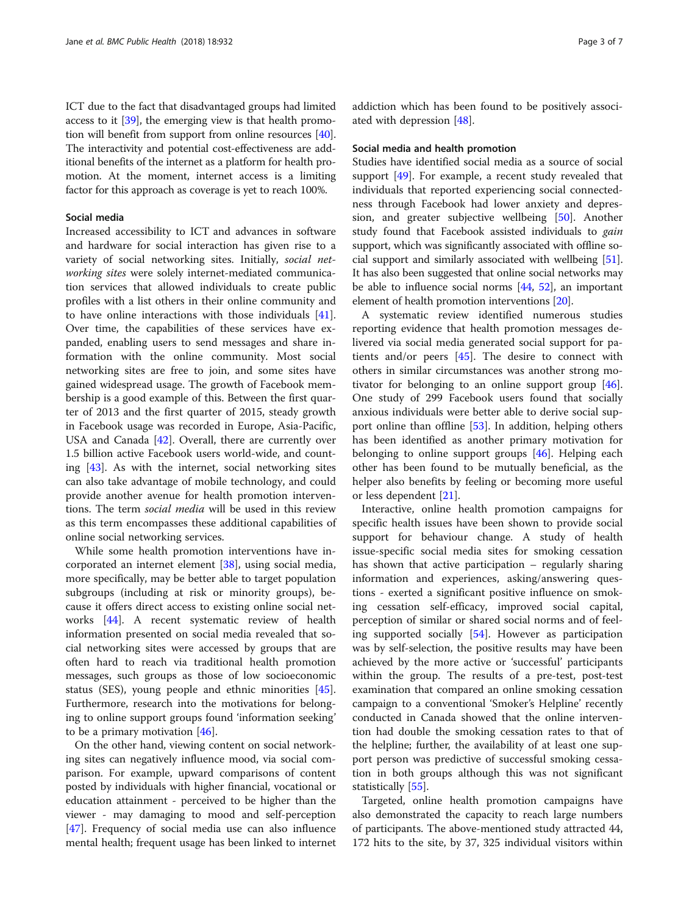ICT due to the fact that disadvantaged groups had limited access to it [[39\]](#page-6-0), the emerging view is that health promotion will benefit from support from online resources [[40](#page-6-0)]. The interactivity and potential cost-effectiveness are additional benefits of the internet as a platform for health promotion. At the moment, internet access is a limiting factor for this approach as coverage is yet to reach 100%.

## Social media

Increased accessibility to ICT and advances in software and hardware for social interaction has given rise to a variety of social networking sites. Initially, social networking sites were solely internet-mediated communication services that allowed individuals to create public profiles with a list others in their online community and to have online interactions with those individuals [\[41](#page-6-0)]. Over time, the capabilities of these services have expanded, enabling users to send messages and share information with the online community. Most social networking sites are free to join, and some sites have gained widespread usage. The growth of Facebook membership is a good example of this. Between the first quarter of 2013 and the first quarter of 2015, steady growth in Facebook usage was recorded in Europe, Asia-Pacific, USA and Canada [[42\]](#page-6-0). Overall, there are currently over 1.5 billion active Facebook users world-wide, and counting [[43](#page-6-0)]. As with the internet, social networking sites can also take advantage of mobile technology, and could provide another avenue for health promotion interventions. The term social media will be used in this review as this term encompasses these additional capabilities of online social networking services.

While some health promotion interventions have incorporated an internet element [\[38\]](#page-6-0), using social media, more specifically, may be better able to target population subgroups (including at risk or minority groups), because it offers direct access to existing online social networks [\[44](#page-6-0)]. A recent systematic review of health information presented on social media revealed that social networking sites were accessed by groups that are often hard to reach via traditional health promotion messages, such groups as those of low socioeconomic status (SES), young people and ethnic minorities [\[45](#page-6-0)]. Furthermore, research into the motivations for belonging to online support groups found 'information seeking' to be a primary motivation [\[46\]](#page-6-0).

On the other hand, viewing content on social networking sites can negatively influence mood, via social comparison. For example, upward comparisons of content posted by individuals with higher financial, vocational or education attainment - perceived to be higher than the viewer - may damaging to mood and self-perception [[47\]](#page-6-0). Frequency of social media use can also influence mental health; frequent usage has been linked to internet

addiction which has been found to be positively associated with depression [\[48](#page-6-0)].

## Social media and health promotion

Studies have identified social media as a source of social support  $[49]$  $[49]$ . For example, a recent study revealed that individuals that reported experiencing social connectedness through Facebook had lower anxiety and depression, and greater subjective wellbeing [[50](#page-6-0)]. Another study found that Facebook assisted individuals to gain support, which was significantly associated with offline social support and similarly associated with wellbeing [[51](#page-6-0)]. It has also been suggested that online social networks may be able to influence social norms  $[44, 52]$  $[44, 52]$  $[44, 52]$ , an important element of health promotion interventions [\[20\]](#page-5-0).

A systematic review identified numerous studies reporting evidence that health promotion messages delivered via social media generated social support for patients and/or peers [\[45](#page-6-0)]. The desire to connect with others in similar circumstances was another strong motivator for belonging to an online support group [\[46](#page-6-0)]. One study of 299 Facebook users found that socially anxious individuals were better able to derive social support online than offline [[53\]](#page-6-0). In addition, helping others has been identified as another primary motivation for belonging to online support groups [\[46](#page-6-0)]. Helping each other has been found to be mutually beneficial, as the helper also benefits by feeling or becoming more useful or less dependent [[21\]](#page-5-0).

Interactive, online health promotion campaigns for specific health issues have been shown to provide social support for behaviour change. A study of health issue-specific social media sites for smoking cessation has shown that active participation – regularly sharing information and experiences, asking/answering questions - exerted a significant positive influence on smoking cessation self-efficacy, improved social capital, perception of similar or shared social norms and of feeling supported socially [\[54\]](#page-6-0). However as participation was by self-selection, the positive results may have been achieved by the more active or 'successful' participants within the group. The results of a pre-test, post-test examination that compared an online smoking cessation campaign to a conventional 'Smoker's Helpline' recently conducted in Canada showed that the online intervention had double the smoking cessation rates to that of the helpline; further, the availability of at least one support person was predictive of successful smoking cessation in both groups although this was not significant statistically [[55\]](#page-6-0).

Targeted, online health promotion campaigns have also demonstrated the capacity to reach large numbers of participants. The above-mentioned study attracted 44, 172 hits to the site, by 37, 325 individual visitors within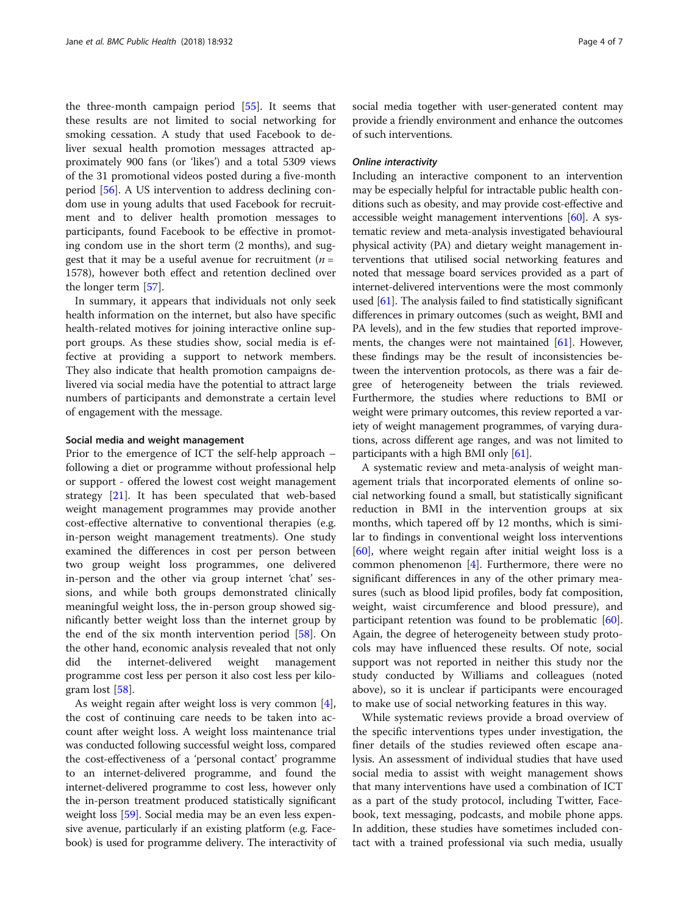the three-month campaign period [[55\]](#page-6-0). It seems that these results are not limited to social networking for smoking cessation. A study that used Facebook to deliver sexual health promotion messages attracted approximately 900 fans (or 'likes') and a total 5309 views of the 31 promotional videos posted during a five-month period [\[56](#page-6-0)]. A US intervention to address declining condom use in young adults that used Facebook for recruitment and to deliver health promotion messages to participants, found Facebook to be effective in promoting condom use in the short term (2 months), and suggest that it may be a useful avenue for recruitment ( $n =$ 1578), however both effect and retention declined over the longer term [[57\]](#page-6-0).

In summary, it appears that individuals not only seek health information on the internet, but also have specific health-related motives for joining interactive online support groups. As these studies show, social media is effective at providing a support to network members. They also indicate that health promotion campaigns delivered via social media have the potential to attract large numbers of participants and demonstrate a certain level of engagement with the message.

## Social media and weight management

Prior to the emergence of ICT the self-help approach – following a diet or programme without professional help or support - offered the lowest cost weight management strategy [[21](#page-5-0)]. It has been speculated that web-based weight management programmes may provide another cost-effective alternative to conventional therapies (e.g. in-person weight management treatments). One study examined the differences in cost per person between two group weight loss programmes, one delivered in-person and the other via group internet 'chat' sessions, and while both groups demonstrated clinically meaningful weight loss, the in-person group showed significantly better weight loss than the internet group by the end of the six month intervention period [[58\]](#page-6-0). On the other hand, economic analysis revealed that not only did the internet-delivered weight management programme cost less per person it also cost less per kilogram lost [\[58](#page-6-0)].

As weight regain after weight loss is very common [\[4](#page-5-0)], the cost of continuing care needs to be taken into account after weight loss. A weight loss maintenance trial was conducted following successful weight loss, compared the cost-effectiveness of a 'personal contact' programme to an internet-delivered programme, and found the internet-delivered programme to cost less, however only the in-person treatment produced statistically significant weight loss [\[59](#page-6-0)]. Social media may be an even less expensive avenue, particularly if an existing platform (e.g. Facebook) is used for programme delivery. The interactivity of

social media together with user-generated content may provide a friendly environment and enhance the outcomes of such interventions.

## Online interactivity

Including an interactive component to an intervention may be especially helpful for intractable public health conditions such as obesity, and may provide cost-effective and accessible weight management interventions [[60](#page-6-0)]. A systematic review and meta-analysis investigated behavioural physical activity (PA) and dietary weight management interventions that utilised social networking features and noted that message board services provided as a part of internet-delivered interventions were the most commonly used  $[61]$  $[61]$  $[61]$ . The analysis failed to find statistically significant differences in primary outcomes (such as weight, BMI and PA levels), and in the few studies that reported improve-ments, the changes were not maintained [\[61\]](#page-6-0). However, these findings may be the result of inconsistencies between the intervention protocols, as there was a fair degree of heterogeneity between the trials reviewed. Furthermore, the studies where reductions to BMI or weight were primary outcomes, this review reported a variety of weight management programmes, of varying durations, across different age ranges, and was not limited to participants with a high BMI only [\[61\]](#page-6-0).

A systematic review and meta-analysis of weight management trials that incorporated elements of online social networking found a small, but statistically significant reduction in BMI in the intervention groups at six months, which tapered off by 12 months, which is similar to findings in conventional weight loss interventions [[60\]](#page-6-0), where weight regain after initial weight loss is a common phenomenon [[4\]](#page-5-0). Furthermore, there were no significant differences in any of the other primary measures (such as blood lipid profiles, body fat composition, weight, waist circumference and blood pressure), and participant retention was found to be problematic [\[60](#page-6-0)]. Again, the degree of heterogeneity between study protocols may have influenced these results. Of note, social support was not reported in neither this study nor the study conducted by Williams and colleagues (noted above), so it is unclear if participants were encouraged to make use of social networking features in this way.

While systematic reviews provide a broad overview of the specific interventions types under investigation, the finer details of the studies reviewed often escape analysis. An assessment of individual studies that have used social media to assist with weight management shows that many interventions have used a combination of ICT as a part of the study protocol, including Twitter, Facebook, text messaging, podcasts, and mobile phone apps. In addition, these studies have sometimes included contact with a trained professional via such media, usually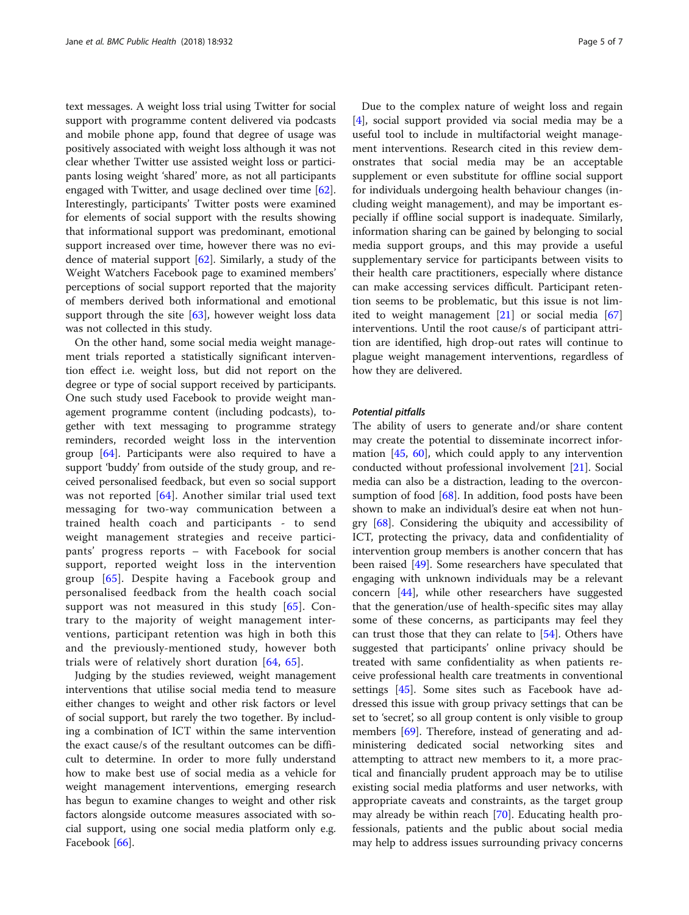text messages. A weight loss trial using Twitter for social support with programme content delivered via podcasts and mobile phone app, found that degree of usage was positively associated with weight loss although it was not clear whether Twitter use assisted weight loss or participants losing weight 'shared' more, as not all participants engaged with Twitter, and usage declined over time [\[62](#page-6-0)]. Interestingly, participants' Twitter posts were examined for elements of social support with the results showing that informational support was predominant, emotional support increased over time, however there was no evidence of material support  $[62]$  $[62]$ . Similarly, a study of the Weight Watchers Facebook page to examined members' perceptions of social support reported that the majority of members derived both informational and emotional support through the site [\[63](#page-6-0)], however weight loss data was not collected in this study.

On the other hand, some social media weight management trials reported a statistically significant intervention effect i.e. weight loss, but did not report on the degree or type of social support received by participants. One such study used Facebook to provide weight management programme content (including podcasts), together with text messaging to programme strategy reminders, recorded weight loss in the intervention group [\[64\]](#page-6-0). Participants were also required to have a support 'buddy' from outside of the study group, and received personalised feedback, but even so social support was not reported [[64](#page-6-0)]. Another similar trial used text messaging for two-way communication between a trained health coach and participants - to send weight management strategies and receive participants' progress reports – with Facebook for social support, reported weight loss in the intervention group [\[65\]](#page-6-0). Despite having a Facebook group and personalised feedback from the health coach social support was not measured in this study [[65](#page-6-0)]. Contrary to the majority of weight management interventions, participant retention was high in both this and the previously-mentioned study, however both trials were of relatively short duration [[64](#page-6-0), [65\]](#page-6-0).

Judging by the studies reviewed, weight management interventions that utilise social media tend to measure either changes to weight and other risk factors or level of social support, but rarely the two together. By including a combination of ICT within the same intervention the exact cause/s of the resultant outcomes can be difficult to determine. In order to more fully understand how to make best use of social media as a vehicle for weight management interventions, emerging research has begun to examine changes to weight and other risk factors alongside outcome measures associated with social support, using one social media platform only e.g. Facebook [\[66\]](#page-6-0).

Due to the complex nature of weight loss and regain [[4\]](#page-5-0), social support provided via social media may be a useful tool to include in multifactorial weight management interventions. Research cited in this review demonstrates that social media may be an acceptable supplement or even substitute for offline social support for individuals undergoing health behaviour changes (including weight management), and may be important especially if offline social support is inadequate. Similarly, information sharing can be gained by belonging to social media support groups, and this may provide a useful supplementary service for participants between visits to their health care practitioners, especially where distance can make accessing services difficult. Participant retention seems to be problematic, but this issue is not limited to weight management [\[21\]](#page-5-0) or social media [[67](#page-6-0)] interventions. Until the root cause/s of participant attrition are identified, high drop-out rates will continue to plague weight management interventions, regardless of how they are delivered.

## Potential pitfalls

The ability of users to generate and/or share content may create the potential to disseminate incorrect information [[45,](#page-6-0) [60\]](#page-6-0), which could apply to any intervention conducted without professional involvement [[21\]](#page-5-0). Social media can also be a distraction, leading to the overconsumption of food  $[68]$  $[68]$  $[68]$ . In addition, food posts have been shown to make an individual's desire eat when not hungry [[68\]](#page-6-0). Considering the ubiquity and accessibility of ICT, protecting the privacy, data and confidentiality of intervention group members is another concern that has been raised [[49\]](#page-6-0). Some researchers have speculated that engaging with unknown individuals may be a relevant concern [[44](#page-6-0)], while other researchers have suggested that the generation/use of health-specific sites may allay some of these concerns, as participants may feel they can trust those that they can relate to [[54\]](#page-6-0). Others have suggested that participants' online privacy should be treated with same confidentiality as when patients receive professional health care treatments in conventional settings [[45\]](#page-6-0). Some sites such as Facebook have addressed this issue with group privacy settings that can be set to 'secret', so all group content is only visible to group members [[69](#page-6-0)]. Therefore, instead of generating and administering dedicated social networking sites and attempting to attract new members to it, a more practical and financially prudent approach may be to utilise existing social media platforms and user networks, with appropriate caveats and constraints, as the target group may already be within reach [\[70](#page-6-0)]. Educating health professionals, patients and the public about social media may help to address issues surrounding privacy concerns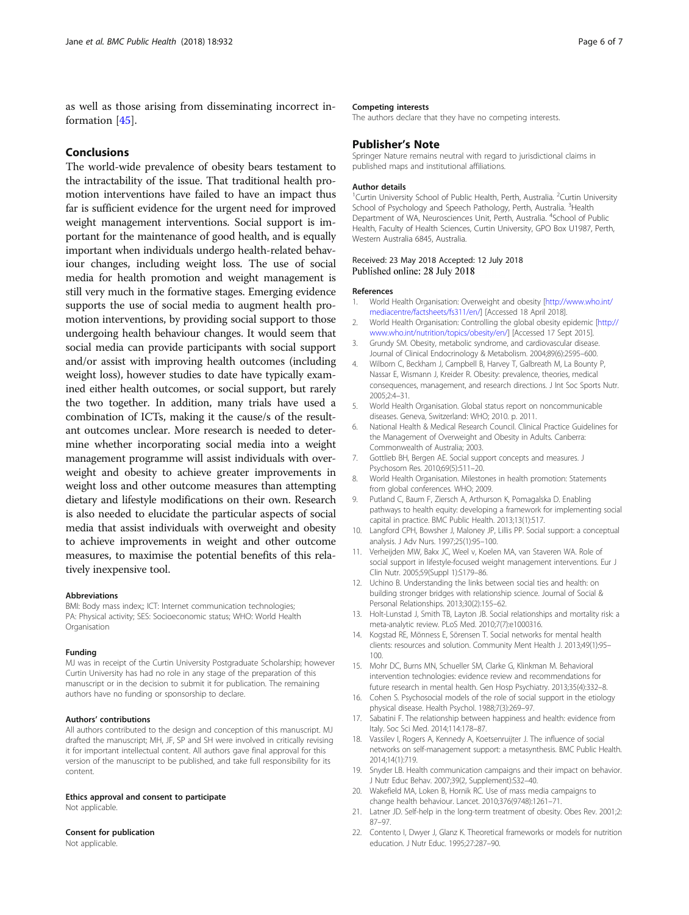<span id="page-5-0"></span>as well as those arising from disseminating incorrect information [\[45](#page-6-0)].

## Conclusions

The world-wide prevalence of obesity bears testament to the intractability of the issue. That traditional health promotion interventions have failed to have an impact thus far is sufficient evidence for the urgent need for improved weight management interventions. Social support is important for the maintenance of good health, and is equally important when individuals undergo health-related behaviour changes, including weight loss. The use of social media for health promotion and weight management is still very much in the formative stages. Emerging evidence supports the use of social media to augment health promotion interventions, by providing social support to those undergoing health behaviour changes. It would seem that social media can provide participants with social support and/or assist with improving health outcomes (including weight loss), however studies to date have typically examined either health outcomes, or social support, but rarely the two together. In addition, many trials have used a combination of ICTs, making it the cause/s of the resultant outcomes unclear. More research is needed to determine whether incorporating social media into a weight management programme will assist individuals with overweight and obesity to achieve greater improvements in weight loss and other outcome measures than attempting dietary and lifestyle modifications on their own. Research is also needed to elucidate the particular aspects of social media that assist individuals with overweight and obesity to achieve improvements in weight and other outcome measures, to maximise the potential benefits of this relatively inexpensive tool.

#### Abbreviations

BMI: Body mass index;; ICT: Internet communication technologies; PA: Physical activity; SES: Socioeconomic status; WHO: World Health Organisation

#### Funding

MJ was in receipt of the Curtin University Postgraduate Scholarship; however Curtin University has had no role in any stage of the preparation of this manuscript or in the decision to submit it for publication. The remaining authors have no funding or sponsorship to declare.

## Authors' contributions

All authors contributed to the design and conception of this manuscript. MJ drafted the manuscript; MH, JF, SP and SH were involved in critically revising it for important intellectual content. All authors gave final approval for this version of the manuscript to be published, and take full responsibility for its content.

#### Ethics approval and consent to participate

Not applicable.

## Consent for publication

Not applicable.

## Competing interests

The authors declare that they have no competing interests.

## Publisher's Note

Springer Nature remains neutral with regard to jurisdictional claims in published maps and institutional affiliations.

### Author details

<sup>1</sup> Curtin University School of Public Health, Perth, Australia. <sup>2</sup> Curtin University School of Psychology and Speech Pathology, Perth, Australia. <sup>3</sup>Health Department of WA, Neurosciences Unit, Perth, Australia. <sup>4</sup>School of Public Health, Faculty of Health Sciences, Curtin University, GPO Box U1987, Perth, Western Australia 6845, Australia.

## Received: 23 May 2018 Accepted: 12 July 2018 Published online: 28 July 2018

#### References

- 1. World Health Organisation: Overweight and obesity [[http://www.who.int/](http://www.who.int/mediacentre/factsheets/fs311/en/) [mediacentre/factsheets/fs311/en/](http://www.who.int/mediacentre/factsheets/fs311/en/)] [Accessed 18 April 2018].
- 2. World Health Organisation: Controlling the global obesity epidemic [[http://](http://www.who.int/nutrition/topics/obesity/en/) [www.who.int/nutrition/topics/obesity/en/\]](http://www.who.int/nutrition/topics/obesity/en/) [Accessed 17 Sept 2015].
- 3. Grundy SM. Obesity, metabolic syndrome, and cardiovascular disease. Journal of Clinical Endocrinology & Metabolism. 2004;89(6):2595–600.
- 4. Wilborn C, Beckham J, Campbell B, Harvey T, Galbreath M, La Bounty P, Nassar E, Wismann J, Kreider R. Obesity: prevalence, theories, medical consequences, management, and research directions. J Int Soc Sports Nutr. 2005;2:4–31.
- 5. World Health Organisation. Global status report on noncommunicable diseases. Geneva, Switzerland: WHO; 2010. p. 2011.
- 6. National Health & Medical Research Council. Clinical Practice Guidelines for the Management of Overweight and Obesity in Adults. Canberra: Commonwealth of Australia; 2003.
- 7. Gottlieb BH, Bergen AE. Social support concepts and measures. J Psychosom Res. 2010;69(5):511–20.
- 8. World Health Organisation. Milestones in health promotion: Statements from global conferences. WHO; 2009.
- 9. Putland C, Baum F, Ziersch A, Arthurson K, Pomagalska D. Enabling pathways to health equity: developing a framework for implementing social capital in practice. BMC Public Health. 2013;13(1):517.
- 10. Langford CPH, Bowsher J, Maloney JP, Lillis PP. Social support: a conceptual analysis. J Adv Nurs. 1997;25(1):95–100.
- 11. Verheijden MW, Bakx JC, Weel v, Koelen MA, van Staveren WA. Role of social support in lifestyle-focused weight management interventions. Eur J Clin Nutr. 2005;59(Suppl 1):S179–86.
- 12. Uchino B. Understanding the links between social ties and health: on building stronger bridges with relationship science. Journal of Social & Personal Relationships. 2013;30(2):155–62.
- 13. Holt-Lunstad J, Smith TB, Layton JB. Social relationships and mortality risk: a meta-analytic review. PLoS Med. 2010;7(7):e1000316.
- 14. Kogstad RE, Mönness E, Sörensen T. Social networks for mental health clients: resources and solution. Community Ment Health J. 2013;49(1):95– 100.
- 15. Mohr DC, Burns MN, Schueller SM, Clarke G, Klinkman M. Behavioral intervention technologies: evidence review and recommendations for future research in mental health. Gen Hosp Psychiatry. 2013;35(4):332–8.
- 16. Cohen S. Psychosocial models of the role of social support in the etiology physical disease. Health Psychol. 1988;7(3):269–97.
- 17. Sabatini F. The relationship between happiness and health: evidence from Italy. Soc Sci Med. 2014;114:178–87.
- 18. Vassilev I, Rogers A, Kennedy A, Koetsenruijter J. The influence of social networks on self-management support: a metasynthesis. BMC Public Health. 2014;14(1):719.
- 19. Snyder LB. Health communication campaigns and their impact on behavior. J Nutr Educ Behav. 2007;39(2, Supplement):S32–40.
- 20. Wakefield MA, Loken B, Hornik RC. Use of mass media campaigns to change health behaviour. Lancet. 2010;376(9748):1261–71.
- 21. Latner JD. Self-help in the long-term treatment of obesity. Obes Rev. 2001;2: 87–97.
- 22. Contento I, Dwyer J, Glanz K. Theoretical frameworks or models for nutrition education. J Nutr Educ. 1995;27:287–90.